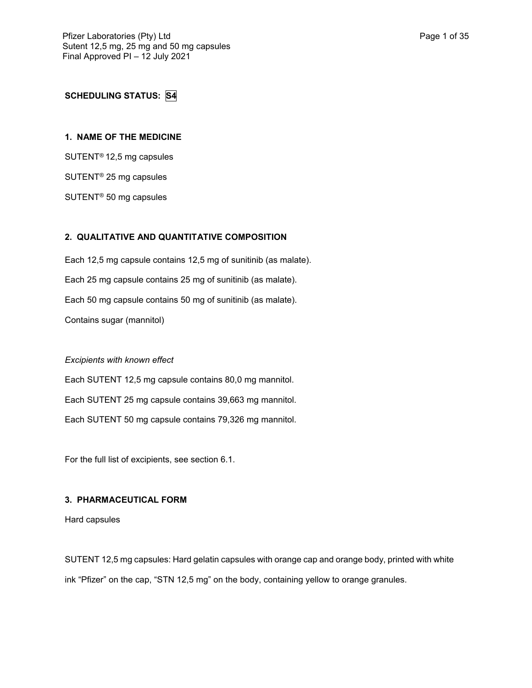# **SCHEDULING STATUS: S4**

## **1. NAME OF THE MEDICINE**

SUTENT® 12,5 mg capsules

SUTENT® 25 mg capsules

SUTENT® 50 mg capsules

# **2. QUALITATIVE AND QUANTITATIVE COMPOSITION**

Each 12,5 mg capsule contains 12,5 mg of sunitinib (as malate). Each 25 mg capsule contains 25 mg of sunitinib (as malate). Each 50 mg capsule contains 50 mg of sunitinib (as malate). Contains sugar (mannitol)

## *Excipients with known effect*

Each SUTENT 12,5 mg capsule contains 80,0 mg mannitol. Each SUTENT 25 mg capsule contains 39,663 mg mannitol. Each SUTENT 50 mg capsule contains 79,326 mg mannitol.

For the full list of excipients, see section 6.1.

# **3. PHARMACEUTICAL FORM**

Hard capsules

SUTENT 12,5 mg capsules: Hard gelatin capsules with orange cap and orange body, printed with white ink "Pfizer" on the cap, "STN 12,5 mg" on the body, containing yellow to orange granules.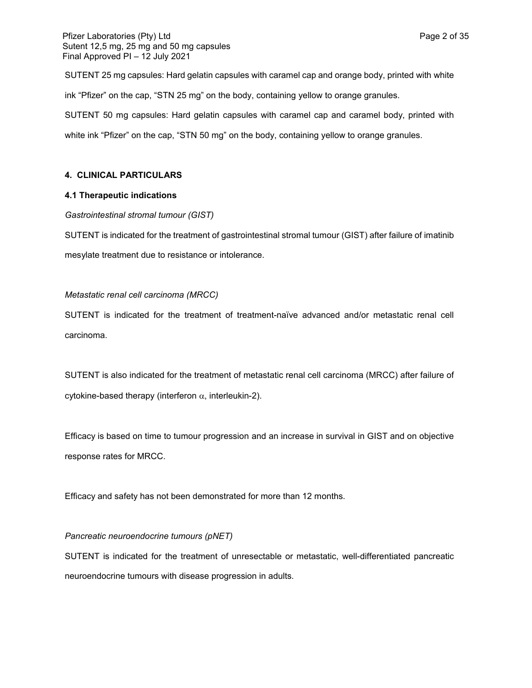## Pfizer Laboratories (Pty) Ltd **Page 2 of 35** Prizer Laboratories (Pty) Ltd Sutent 12,5 mg, 25 mg and 50 mg capsules Final Approved PI – 12 July 2021

SUTENT 25 mg capsules: Hard gelatin capsules with caramel cap and orange body, printed with white ink "Pfizer" on the cap, "STN 25 mg" on the body, containing yellow to orange granules. SUTENT 50 mg capsules: Hard gelatin capsules with caramel cap and caramel body, printed with white ink "Pfizer" on the cap, "STN 50 mg" on the body, containing yellow to orange granules.

## **4. CLINICAL PARTICULARS**

## **4.1 Therapeutic indications**

## *Gastrointestinal stromal tumour (GIST)*

SUTENT is indicated for the treatment of gastrointestinal stromal tumour (GIST) after failure of imatinib mesylate treatment due to resistance or intolerance.

## *Metastatic renal cell carcinoma (MRCC)*

SUTENT is indicated for the treatment of treatment-naïve advanced and/or metastatic renal cell carcinoma.

SUTENT is also indicated for the treatment of metastatic renal cell carcinoma (MRCC) after failure of cytokine-based therapy (interferon  $\alpha$ , interleukin-2).

Efficacy is based on time to tumour progression and an increase in survival in GIST and on objective response rates for MRCC.

Efficacy and safety has not been demonstrated for more than 12 months.

## *Pancreatic neuroendocrine tumours (pNET)*

SUTENT is indicated for the treatment of unresectable or metastatic, well-differentiated pancreatic neuroendocrine tumours with disease progression in adults.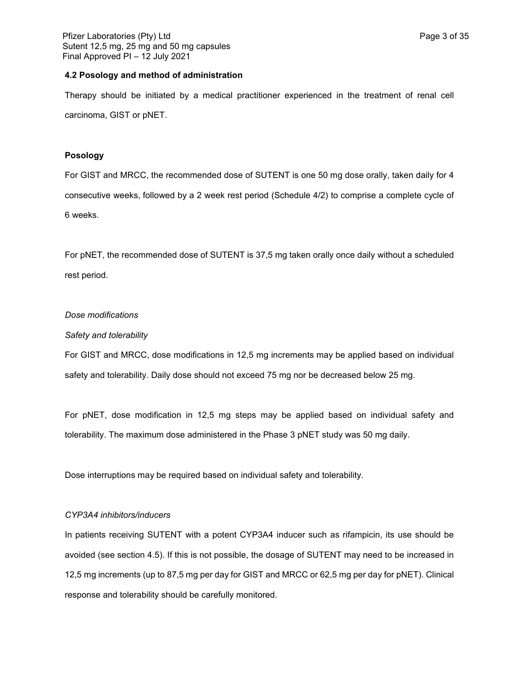### **4.2 Posology and method of administration**

Therapy should be initiated by a medical practitioner experienced in the treatment of renal cell carcinoma, GIST or pNET.

## **Posology**

For GIST and MRCC, the recommended dose of SUTENT is one 50 mg dose orally, taken daily for 4 consecutive weeks, followed by a 2 week rest period (Schedule 4/2) to comprise a complete cycle of 6 weeks.

For pNET, the recommended dose of SUTENT is 37,5 mg taken orally once daily without a scheduled rest period.

### *Dose modifications*

### *Safety and tolerability*

For GIST and MRCC, dose modifications in 12,5 mg increments may be applied based on individual safety and tolerability. Daily dose should not exceed 75 mg nor be decreased below 25 mg.

For pNET, dose modification in 12,5 mg steps may be applied based on individual safety and tolerability. The maximum dose administered in the Phase 3 pNET study was 50 mg daily.

Dose interruptions may be required based on individual safety and tolerability.

#### *CYP3A4 inhibitors/inducers*

In patients receiving SUTENT with a potent CYP3A4 inducer such as rifampicin, its use should be avoided (see section 4.5). If this is not possible, the dosage of SUTENT may need to be increased in 12,5 mg increments (up to 87,5 mg per day for GIST and MRCC or 62,5 mg per day for pNET). Clinical response and tolerability should be carefully monitored.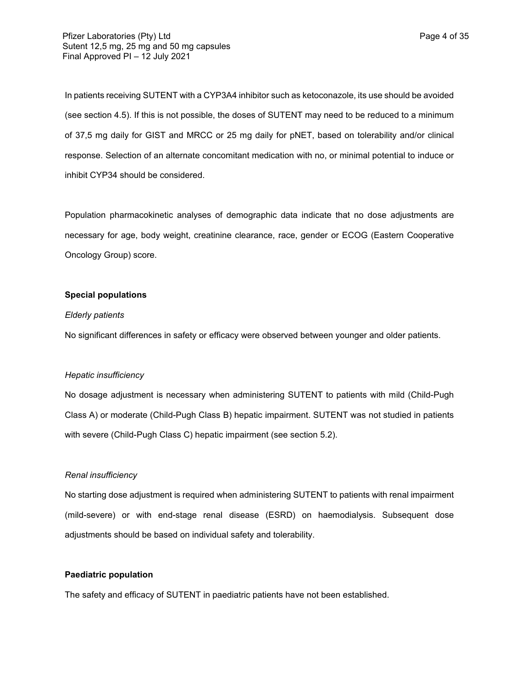In patients receiving SUTENT with a CYP3A4 inhibitor such as ketoconazole, its use should be avoided (see section 4.5). If this is not possible, the doses of SUTENT may need to be reduced to a minimum of 37,5 mg daily for GIST and MRCC or 25 mg daily for pNET, based on tolerability and/or clinical response. Selection of an alternate concomitant medication with no, or minimal potential to induce or inhibit CYP34 should be considered.

Population pharmacokinetic analyses of demographic data indicate that no dose adjustments are necessary for age, body weight, creatinine clearance, race, gender or ECOG (Eastern Cooperative Oncology Group) score.

### **Special populations**

#### *Elderly patients*

No significant differences in safety or efficacy were observed between younger and older patients.

## *Hepatic insufficiency*

No dosage adjustment is necessary when administering SUTENT to patients with mild (Child-Pugh Class A) or moderate (Child-Pugh Class B) hepatic impairment. SUTENT was not studied in patients with severe (Child-Pugh Class C) hepatic impairment (see section 5.2).

## *Renal insufficiency*

No starting dose adjustment is required when administering SUTENT to patients with renal impairment (mild-severe) or with end-stage renal disease (ESRD) on haemodialysis. Subsequent dose adjustments should be based on individual safety and tolerability.

### **Paediatric population**

The safety and efficacy of SUTENT in paediatric patients have not been established.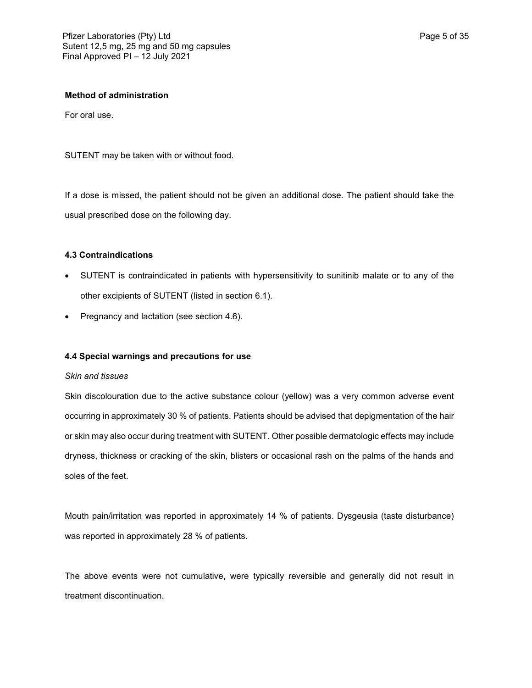### **Method of administration**

For oral use.

SUTENT may be taken with or without food.

If a dose is missed, the patient should not be given an additional dose. The patient should take the usual prescribed dose on the following day.

#### **4.3 Contraindications**

- SUTENT is contraindicated in patients with hypersensitivity to sunitinib malate or to any of the other excipients of SUTENT (listed in section 6.1).
- Pregnancy and lactation (see section 4.6).

### **4.4 Special warnings and precautions for use**

#### *Skin and tissues*

Skin discolouration due to the active substance colour (yellow) was a very common adverse event occurring in approximately 30 % of patients. Patients should be advised that depigmentation of the hair or skin may also occur during treatment with SUTENT. Other possible dermatologic effects may include dryness, thickness or cracking of the skin, blisters or occasional rash on the palms of the hands and soles of the feet.

Mouth pain/irritation was reported in approximately 14 % of patients. Dysgeusia (taste disturbance) was reported in approximately 28 % of patients.

The above events were not cumulative, were typically reversible and generally did not result in treatment discontinuation.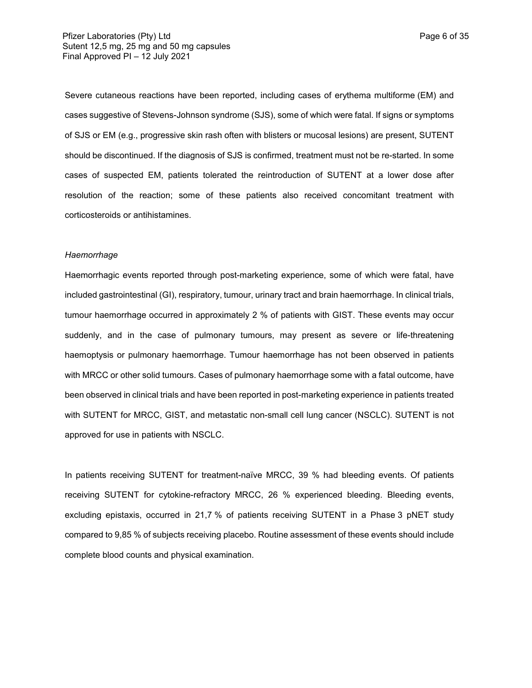Severe cutaneous reactions have been reported, including cases of erythema multiforme (EM) and cases suggestive of Stevens-Johnson syndrome (SJS), some of which were fatal. If signs or symptoms of SJS or EM (e.g., progressive skin rash often with blisters or mucosal lesions) are present, SUTENT should be discontinued. If the diagnosis of SJS is confirmed, treatment must not be re-started. In some cases of suspected EM, patients tolerated the reintroduction of SUTENT at a lower dose after resolution of the reaction; some of these patients also received concomitant treatment with corticosteroids or antihistamines.

#### *Haemorrhage*

Haemorrhagic events reported through post-marketing experience, some of which were fatal, have included gastrointestinal (GI), respiratory, tumour, urinary tract and brain haemorrhage. In clinical trials, tumour haemorrhage occurred in approximately 2 % of patients with GIST. These events may occur suddenly, and in the case of pulmonary tumours, may present as severe or life-threatening haemoptysis or pulmonary haemorrhage. Tumour haemorrhage has not been observed in patients with MRCC or other solid tumours. Cases of pulmonary haemorrhage some with a fatal outcome, have been observed in clinical trials and have been reported in post-marketing experience in patients treated with SUTENT for MRCC, GIST, and metastatic non-small cell lung cancer (NSCLC). SUTENT is not approved for use in patients with NSCLC.

In patients receiving SUTENT for treatment-naïve MRCC, 39 % had bleeding events. Of patients receiving SUTENT for cytokine-refractory MRCC, 26 % experienced bleeding. Bleeding events, excluding epistaxis, occurred in 21,7 % of patients receiving SUTENT in a Phase 3 pNET study compared to 9,85 % of subjects receiving placebo. Routine assessment of these events should include complete blood counts and physical examination.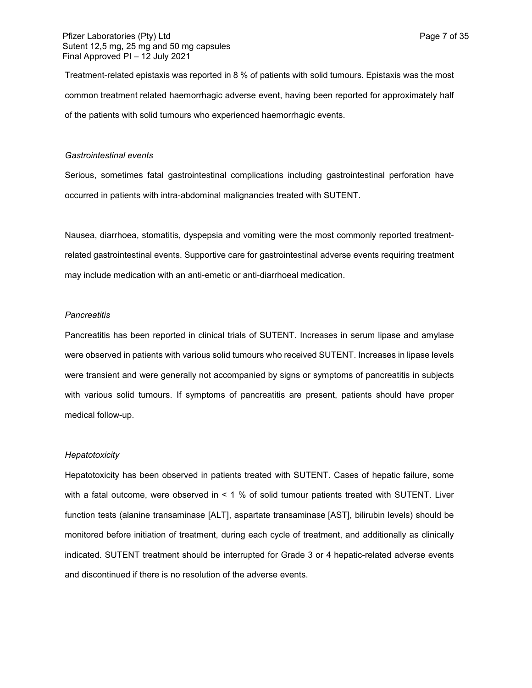Treatment-related epistaxis was reported in 8 % of patients with solid tumours. Epistaxis was the most common treatment related haemorrhagic adverse event, having been reported for approximately half of the patients with solid tumours who experienced haemorrhagic events.

#### *Gastrointestinal events*

Serious, sometimes fatal gastrointestinal complications including gastrointestinal perforation have occurred in patients with intra-abdominal malignancies treated with SUTENT.

Nausea, diarrhoea, stomatitis, dyspepsia and vomiting were the most commonly reported treatmentrelated gastrointestinal events. Supportive care for gastrointestinal adverse events requiring treatment may include medication with an anti-emetic or anti-diarrhoeal medication.

#### *Pancreatitis*

Pancreatitis has been reported in clinical trials of SUTENT. Increases in serum lipase and amylase were observed in patients with various solid tumours who received SUTENT. Increases in lipase levels were transient and were generally not accompanied by signs or symptoms of pancreatitis in subjects with various solid tumours. If symptoms of pancreatitis are present, patients should have proper medical follow-up.

### *Hepatotoxicity*

Hepatotoxicity has been observed in patients treated with SUTENT. Cases of hepatic failure, some with a fatal outcome, were observed in < 1 % of solid tumour patients treated with SUTENT. Liver function tests (alanine transaminase [ALT], aspartate transaminase [AST], bilirubin levels) should be monitored before initiation of treatment, during each cycle of treatment, and additionally as clinically indicated. SUTENT treatment should be interrupted for Grade 3 or 4 hepatic-related adverse events and discontinued if there is no resolution of the adverse events.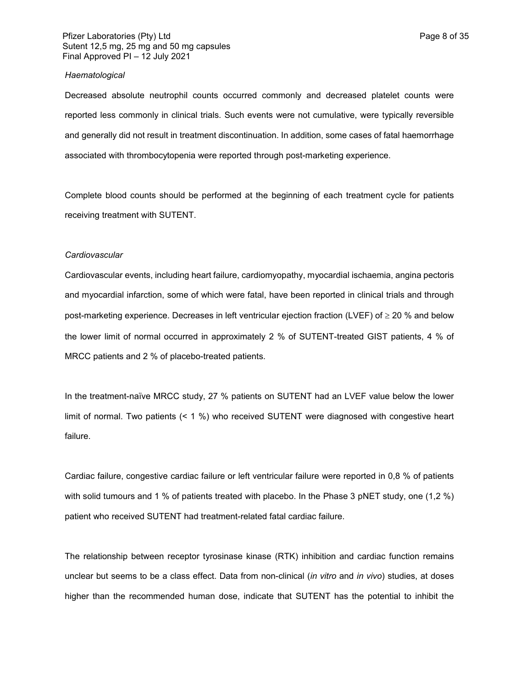## Pfizer Laboratories (Pty) Ltd **Page 8 of 35** and Page 8 of 35 Sutent 12,5 mg, 25 mg and 50 mg capsules Final Approved PI – 12 July 2021

#### *Haematological*

Decreased absolute neutrophil counts occurred commonly and decreased platelet counts were reported less commonly in clinical trials. Such events were not cumulative, were typically reversible and generally did not result in treatment discontinuation. In addition, some cases of fatal haemorrhage associated with thrombocytopenia were reported through post-marketing experience.

Complete blood counts should be performed at the beginning of each treatment cycle for patients receiving treatment with SUTENT.

#### *Cardiovascular*

Cardiovascular events, including heart failure, cardiomyopathy, myocardial ischaemia, angina pectoris and myocardial infarction, some of which were fatal, have been reported in clinical trials and through post-marketing experience. Decreases in left ventricular ejection fraction (LVEF) of  $\geq$  20 % and below the lower limit of normal occurred in approximately 2 % of SUTENT-treated GIST patients, 4 % of MRCC patients and 2 % of placebo-treated patients.

In the treatment-naïve MRCC study, 27 % patients on SUTENT had an LVEF value below the lower limit of normal. Two patients (< 1 %) who received SUTENT were diagnosed with congestive heart failure.

Cardiac failure, congestive cardiac failure or left ventricular failure were reported in 0,8 % of patients with solid tumours and 1 % of patients treated with placebo. In the Phase 3 pNET study, one (1,2 %) patient who received SUTENT had treatment-related fatal cardiac failure.

The relationship between receptor tyrosinase kinase (RTK) inhibition and cardiac function remains unclear but seems to be a class effect. Data from non-clinical (*in vitro* and *in vivo*) studies, at doses higher than the recommended human dose, indicate that SUTENT has the potential to inhibit the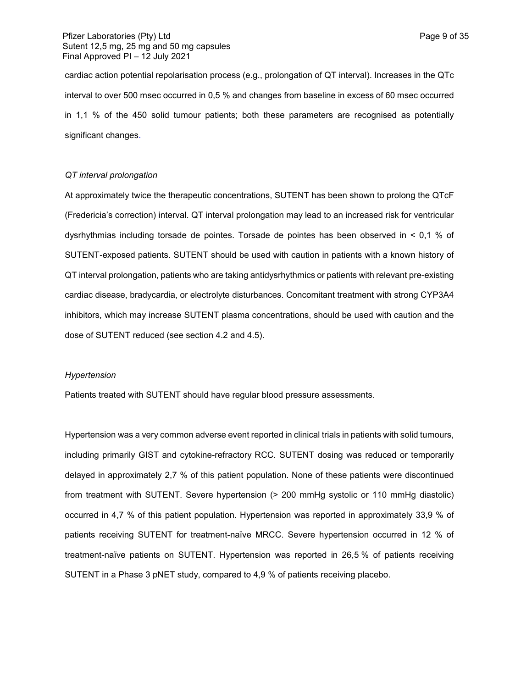cardiac action potential repolarisation process (e.g., prolongation of QT interval). Increases in the QTc interval to over 500 msec occurred in 0,5 % and changes from baseline in excess of 60 msec occurred in 1,1 % of the 450 solid tumour patients; both these parameters are recognised as potentially significant changes.

### *QT interval prolongation*

At approximately twice the therapeutic concentrations, SUTENT has been shown to prolong the QTcF (Fredericia's correction) interval. QT interval prolongation may lead to an increased risk for ventricular dysrhythmias including torsade de pointes. Torsade de pointes has been observed in < 0,1 % of SUTENT-exposed patients. SUTENT should be used with caution in patients with a known history of QT interval prolongation, patients who are taking antidysrhythmics or patients with relevant pre-existing cardiac disease, bradycardia, or electrolyte disturbances. Concomitant treatment with strong CYP3A4 inhibitors, which may increase SUTENT plasma concentrations, should be used with caution and the dose of SUTENT reduced (see section 4.2 and 4.5).

#### *Hypertension*

Patients treated with SUTENT should have regular blood pressure assessments.

Hypertension was a very common adverse event reported in clinical trials in patients with solid tumours, including primarily GIST and cytokine-refractory RCC*.* SUTENT dosing was reduced or temporarily delayed in approximately 2,7 % of this patient population. None of these patients were discontinued from treatment with SUTENT. Severe hypertension (> 200 mmHg systolic or 110 mmHg diastolic) occurred in 4,7 % of this patient population. Hypertension was reported in approximately 33,9 % of patients receiving SUTENT for treatment-naïve MRCC. Severe hypertension occurred in 12 % of treatment-naïve patients on SUTENT. Hypertension was reported in 26,5 % of patients receiving SUTENT in a Phase 3 pNET study, compared to 4,9 % of patients receiving placebo.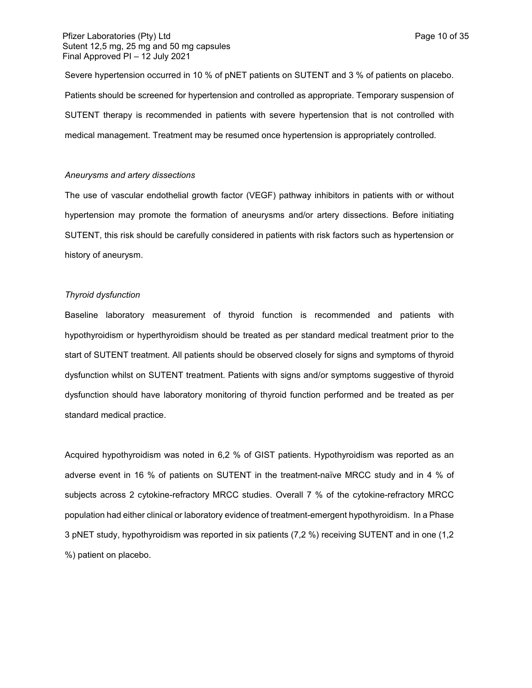Severe hypertension occurred in 10 % of pNET patients on SUTENT and 3 % of patients on placebo. Patients should be screened for hypertension and controlled as appropriate. Temporary suspension of SUTENT therapy is recommended in patients with severe hypertension that is not controlled with medical management. Treatment may be resumed once hypertension is appropriately controlled*.*

#### *Aneurysms and artery dissections*

The use of vascular endothelial growth factor (VEGF) pathway inhibitors in patients with or without hypertension may promote the formation of aneurysms and/or artery dissections. Before initiating SUTENT, this risk should be carefully considered in patients with risk factors such as hypertension or history of aneurysm.

### *Thyroid dysfunction*

Baseline laboratory measurement of thyroid function is recommended and patients with hypothyroidism or hyperthyroidism should be treated as per standard medical treatment prior to the start of SUTENT treatment. All patients should be observed closely for signs and symptoms of thyroid dysfunction whilst on SUTENT treatment. Patients with signs and/or symptoms suggestive of thyroid dysfunction should have laboratory monitoring of thyroid function performed and be treated as per standard medical practice.

Acquired hypothyroidism was noted in 6,2 % of GIST patients. Hypothyroidism was reported as an adverse event in 16 % of patients on SUTENT in the treatment-naïve MRCC study and in 4 % of subjects across 2 cytokine-refractory MRCC studies. Overall 7 % of the cytokine-refractory MRCC population had either clinical or laboratory evidence of treatment-emergent hypothyroidism. In a Phase 3 pNET study, hypothyroidism was reported in six patients (7,2 %) receiving SUTENT and in one (1,2 %) patient on placebo.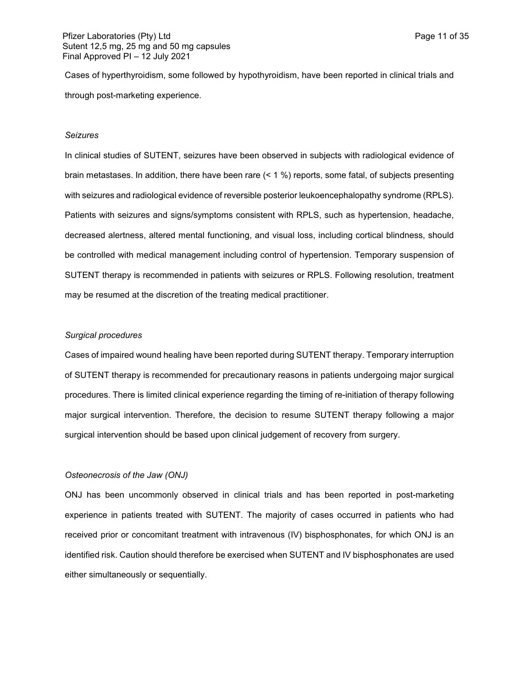Cases of hyperthyroidism, some followed by hypothyroidism, have been reported in clinical trials and through post-marketing experience.

#### *Seizures*

In clinical studies of SUTENT, seizures have been observed in subjects with radiological evidence of brain metastases. In addition, there have been rare (< 1 %) reports, some fatal, of subjects presenting with seizures and radiological evidence of reversible posterior leukoencephalopathy syndrome (RPLS). Patients with seizures and signs/symptoms consistent with RPLS, such as hypertension, headache, decreased alertness, altered mental functioning, and visual loss, including cortical blindness, should be controlled with medical management including control of hypertension. Temporary suspension of SUTENT therapy is recommended in patients with seizures or RPLS. Following resolution, treatment may be resumed at the discretion of the treating medical practitioner.

### *Surgical procedures*

Cases of impaired wound healing have been reported during SUTENT therapy. Temporary interruption of SUTENT therapy is recommended for precautionary reasons in patients undergoing major surgical procedures. There is limited clinical experience regarding the timing of re-initiation of therapy following major surgical intervention. Therefore, the decision to resume SUTENT therapy following a major surgical intervention should be based upon clinical judgement of recovery from surgery.

### *Osteonecrosis of the Jaw (ONJ)*

ONJ has been uncommonly observed in clinical trials and has been reported in post-marketing experience in patients treated with SUTENT. The majority of cases occurred in patients who had received prior or concomitant treatment with intravenous (IV) bisphosphonates, for which ONJ is an identified risk. Caution should therefore be exercised when SUTENT and IV bisphosphonates are used either simultaneously or sequentially.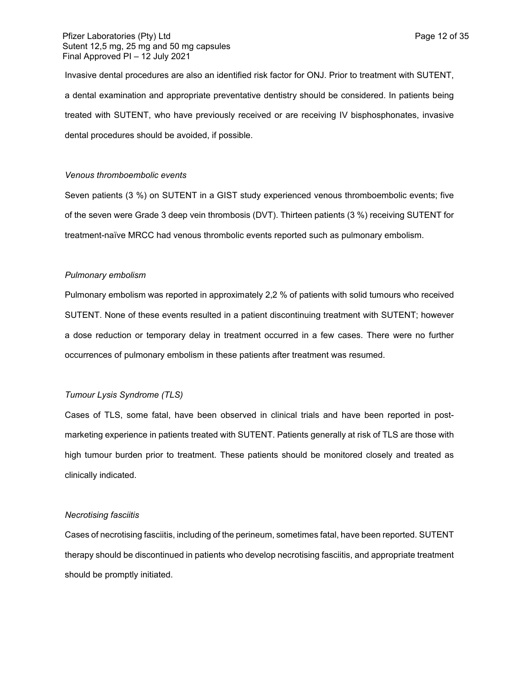Invasive dental procedures are also an identified risk factor for ONJ. Prior to treatment with SUTENT, a dental examination and appropriate preventative dentistry should be considered. In patients being treated with SUTENT, who have previously received or are receiving IV bisphosphonates, invasive dental procedures should be avoided, if possible.

#### *Venous thromboembolic events*

Seven patients (3 %) on SUTENT in a GIST study experienced venous thromboembolic events; five of the seven were Grade 3 deep vein thrombosis (DVT). Thirteen patients (3 %) receiving SUTENT for treatment-naïve MRCC had venous thrombolic events reported such as pulmonary embolism.

#### *Pulmonary embolism*

Pulmonary embolism was reported in approximately 2,2 % of patients with solid tumours who received SUTENT. None of these events resulted in a patient discontinuing treatment with SUTENT; however a dose reduction or temporary delay in treatment occurred in a few cases. There were no further occurrences of pulmonary embolism in these patients after treatment was resumed.

#### *Tumour Lysis Syndrome (TLS)*

Cases of TLS, some fatal, have been observed in clinical trials and have been reported in postmarketing experience in patients treated with SUTENT. Patients generally at risk of TLS are those with high tumour burden prior to treatment. These patients should be monitored closely and treated as clinically indicated.

#### *Necrotising fasciitis*

Cases of necrotising fasciitis, including of the perineum, sometimes fatal, have been reported. SUTENT therapy should be discontinued in patients who develop necrotising fasciitis, and appropriate treatment should be promptly initiated.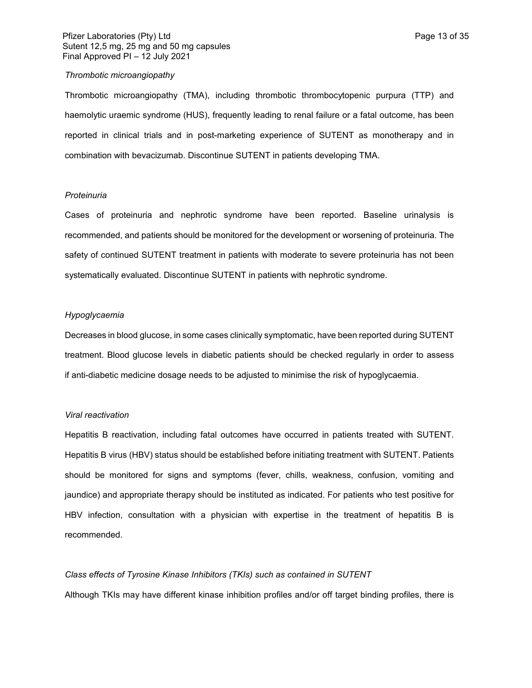#### *Thrombotic microangiopathy*

Thrombotic microangiopathy (TMA), including thrombotic thrombocytopenic purpura (TTP) and haemolytic uraemic syndrome (HUS), frequently leading to renal failure or a fatal outcome, has been reported in clinical trials and in post-marketing experience of SUTENT as monotherapy and in combination with bevacizumab. Discontinue SUTENT in patients developing TMA.

### *Proteinuria*

Cases of proteinuria and nephrotic syndrome have been reported. Baseline urinalysis is recommended, and patients should be monitored for the development or worsening of proteinuria. The safety of continued SUTENT treatment in patients with moderate to severe proteinuria has not been systematically evaluated. Discontinue SUTENT in patients with nephrotic syndrome.

## *Hypoglycaemia*

Decreases in blood glucose, in some cases clinically symptomatic, have been reported during SUTENT treatment. Blood glucose levels in diabetic patients should be checked regularly in order to assess if anti-diabetic medicine dosage needs to be adjusted to minimise the risk of hypoglycaemia.

#### *Viral reactivation*

Hepatitis B reactivation, including fatal outcomes have occurred in patients treated with SUTENT. Hepatitis B virus (HBV) status should be established before initiating treatment with SUTENT. Patients should be monitored for signs and symptoms (fever, chills, weakness, confusion, vomiting and jaundice) and appropriate therapy should be instituted as indicated. For patients who test positive for HBV infection, consultation with a physician with expertise in the treatment of hepatitis B is recommended.

### *Class effects of Tyrosine Kinase Inhibitors (TKIs) such as contained in SUTENT*

Although TKIs may have different kinase inhibition profiles and/or off target binding profiles, there is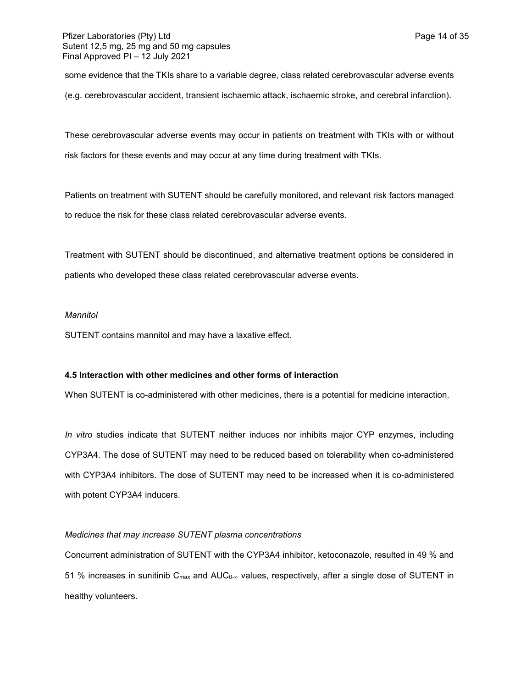some evidence that the TKIs share to a variable degree, class related cerebrovascular adverse events (e.g. cerebrovascular accident, transient ischaemic attack, ischaemic stroke, and cerebral infarction).

These cerebrovascular adverse events may occur in patients on treatment with TKIs with or without risk factors for these events and may occur at any time during treatment with TKIs.

Patients on treatment with SUTENT should be carefully monitored, and relevant risk factors managed to reduce the risk for these class related cerebrovascular adverse events.

Treatment with SUTENT should be discontinued, and alternative treatment options be considered in patients who developed these class related cerebrovascular adverse events.

## *Mannitol*

SUTENT contains mannitol and may have a laxative effect.

## **4.5 Interaction with other medicines and other forms of interaction**

When SUTENT is co-administered with other medicines, there is a potential for medicine interaction.

*In vitro* studies indicate that SUTENT neither induces nor inhibits major CYP enzymes, including CYP3A4. The dose of SUTENT may need to be reduced based on tolerability when co-administered with CYP3A4 inhibitors. The dose of SUTENT may need to be increased when it is co-administered with potent CYP3A4 inducers.

## *Medicines that may increase SUTENT plasma concentrations*

Concurrent administration of SUTENT with the CYP3A4 inhibitor, ketoconazole, resulted in 49 % and 51 % increases in sunitinib C<sub>max</sub> and AUC<sub>0-∞</sub> values, respectively, after a single dose of SUTENT in healthy volunteers.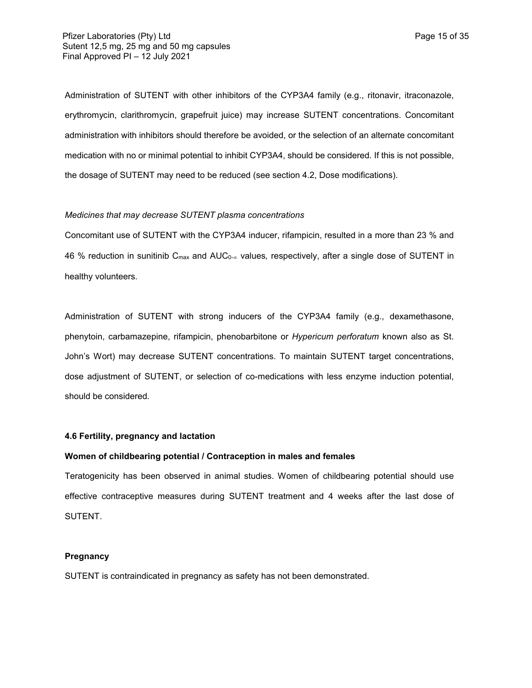Administration of SUTENT with other inhibitors of the CYP3A4 family (e.g., ritonavir, itraconazole, erythromycin, clarithromycin, grapefruit juice) may increase SUTENT concentrations. Concomitant administration with inhibitors should therefore be avoided, or the selection of an alternate concomitant medication with no or minimal potential to inhibit CYP3A4, should be considered. If this is not possible, the dosage of SUTENT may need to be reduced (see section 4.2, Dose modifications).

### *Medicines that may decrease SUTENT plasma concentrations*

Concomitant use of SUTENT with the CYP3A4 inducer, rifampicin, resulted in a more than 23 % and 46 % reduction in sunitinib C<sub>max</sub> and AUC<sub>0-∞</sub> values, respectively, after a single dose of SUTENT in healthy volunteers*.*

Administration of SUTENT with strong inducers of the CYP3A4 family (e.g., dexamethasone, phenytoin, carbamazepine, rifampicin, phenobarbitone or *Hypericum perforatum* known also as St. John's Wort) may decrease SUTENT concentrations. To maintain SUTENT target concentrations, dose adjustment of SUTENT, or selection of co-medications with less enzyme induction potential, should be considered*.*

### **4.6 Fertility, pregnancy and lactation**

### **Women of childbearing potential / Contraception in males and females**

Teratogenicity has been observed in animal studies. Women of childbearing potential should use effective contraceptive measures during SUTENT treatment and 4 weeks after the last dose of SUTENT.

## **Pregnancy**

SUTENT is contraindicated in pregnancy as safety has not been demonstrated.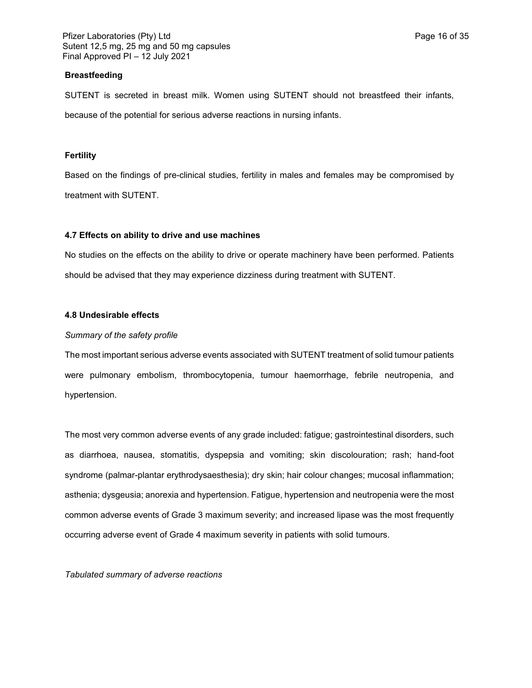### **Breastfeeding**

SUTENT is secreted in breast milk. Women using SUTENT should not breastfeed their infants, because of the potential for serious adverse reactions in nursing infants.

### **Fertility**

Based on the findings of pre-clinical studies, fertility in males and females may be compromised by treatment with SUTENT.

### **4.7 Effects on ability to drive and use machines**

No studies on the effects on the ability to drive or operate machinery have been performed. Patients should be advised that they may experience dizziness during treatment with SUTENT.

## **4.8 Undesirable effects**

### *Summary of the safety profile*

The most important serious adverse events associated with SUTENT treatment of solid tumour patients were pulmonary embolism, thrombocytopenia, tumour haemorrhage, febrile neutropenia, and hypertension.

The most very common adverse events of any grade included: fatigue; gastrointestinal disorders, such as diarrhoea, nausea, stomatitis, dyspepsia and vomiting; skin discolouration; rash; hand-foot syndrome (palmar-plantar erythrodysaesthesia); dry skin; hair colour changes; mucosal inflammation; asthenia; dysgeusia; anorexia and hypertension. Fatigue, hypertension and neutropenia were the most common adverse events of Grade 3 maximum severity; and increased lipase was the most frequently occurring adverse event of Grade 4 maximum severity in patients with solid tumours.

*Tabulated summary of adverse reactions*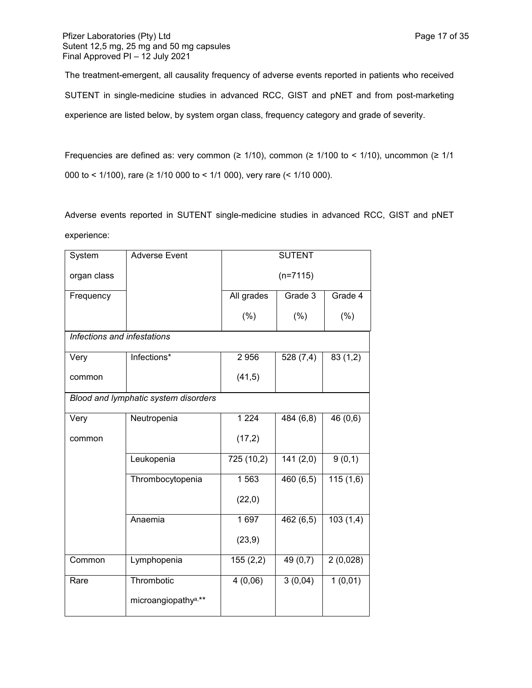The treatment-emergent, all causality frequency of adverse events reported in patients who received SUTENT in single-medicine studies in advanced RCC, GIST and pNET and from post-marketing experience are listed below, by system organ class, frequency category and grade of severity.

Frequencies are defined as: very common ( $\geq 1/10$ ), common ( $\geq 1/100$  to < 1/10), uncommon ( $\geq 1/1$ 000 to < 1/100), rare (≥ 1/10 000 to < 1/1 000), very rare (< 1/10 000).

Adverse events reported in SUTENT single-medicine studies in advanced RCC, GIST and pNET experience:

| System                      | <b>Adverse Event</b>                 |            | <b>SUTENT</b> |          |  |
|-----------------------------|--------------------------------------|------------|---------------|----------|--|
| organ class                 |                                      | $(n=7115)$ |               |          |  |
| Frequency                   |                                      | All grades | Grade 3       | Grade 4  |  |
|                             |                                      | (% )       | (%)           | (% )     |  |
| Infections and infestations |                                      |            |               |          |  |
| Very                        | Infections*                          | 2956       | 528(7,4)      | 83(1,2)  |  |
| common                      |                                      | (41,5)     |               |          |  |
|                             | Blood and lymphatic system disorders |            |               |          |  |
| Very                        | Neutropenia                          | 1224       | 484 (6,8)     | 46 (0,6) |  |
| common                      |                                      | (17,2)     |               |          |  |
|                             | Leukopenia                           | 725 (10,2) | 141(2,0)      | 9(0,1)   |  |
|                             | Thrombocytopenia                     | 1563       | 460(6,5)      | 115(1,6) |  |
|                             |                                      | (22,0)     |               |          |  |
|                             | Anaemia                              | 1 697      | 462(6,5)      | 103(1,4) |  |
|                             |                                      | (23, 9)    |               |          |  |
| Common                      | Lymphopenia                          | 155(2,2)   | 49 (0,7)      | 2(0,028) |  |
| Rare                        | Thrombotic                           | 4(0,06)    | 3(0,04)       | 1(0,01)  |  |
|                             | microangiopathy <sup>a,**</sup>      |            |               |          |  |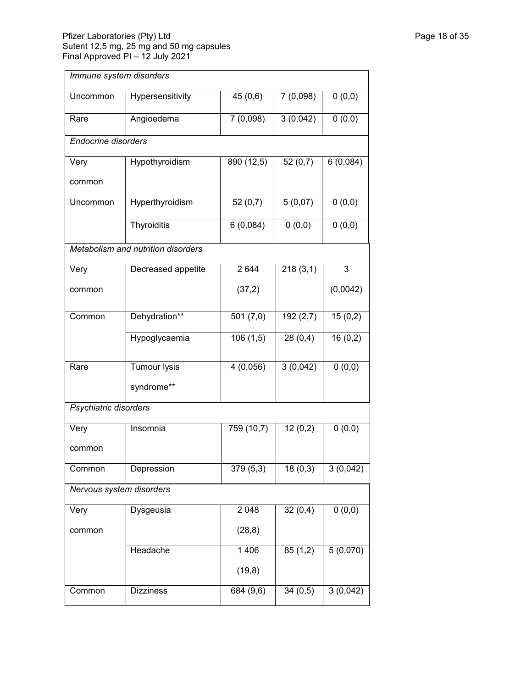## Pfizer Laboratories (Pty) Ltd Page 18 of 35 Sutent 12,5 mg, 25 mg and 50 mg capsules Final Approved PI – 12 July 2021

| Immune system disorders    |                                    |            |           |          |
|----------------------------|------------------------------------|------------|-----------|----------|
| Uncommon                   | Hypersensitivity                   | 45(0,6)    | 7 (0,098) | 0(0,0)   |
| Rare                       | Angioedema                         | 7(0,098)   | 3(0,042)  | 0(0,0)   |
| <b>Endocrine disorders</b> |                                    |            |           |          |
| Very                       | Hypothyroidism                     | 890 (12,5) | 52(0,7)   | 6(0,084) |
| common                     |                                    |            |           |          |
| Uncommon                   | Hyperthyroidism                    | 52(0,7)    | 5(0,07)   | 0(0,0)   |
|                            | Thyroiditis                        | 6(0,084)   | 0(0,0)    | 0(0,0)   |
|                            | Metabolism and nutrition disorders |            |           |          |
| Very                       | Decreased appetite                 | 2 6 4 4    | 218(3,1)  | 3        |
| common                     |                                    | (37,2)     |           | (0,0042) |
| Common                     | Dehydration**                      | 501(7,0)   | 192(2,7)  | 15(0,2)  |
|                            | Hypoglycaemia                      | 106(1,5)   | 28(0,4)   | 16(0,2)  |
| Rare                       | <b>Tumour lysis</b>                | 4(0,056)   | 3(0,042)  | 0(0,0)   |
|                            | syndrome**                         |            |           |          |
| Psychiatric disorders      |                                    |            |           |          |
| Very<br>common             | Insomnia                           | 759(10,7)  | 12(0,2)   | 0(0,0)   |
| Common                     | Depression                         | 379(5,3)   | 18(0,3)   | 3(0,042) |
| Nervous system disorders   |                                    |            |           |          |
| Very                       | Dysgeusia                          | 2 0 4 8    | 32(0,4)   | 0(0,0)   |
| common                     |                                    | (28, 8)    |           |          |
|                            | Headache                           | 1 4 0 6    | 85(1,2)   | 5(0,070) |
|                            |                                    | (19, 8)    |           |          |
| Common                     | <b>Dizziness</b>                   | 684 (9,6)  | 34(0,5)   | 3(0,042) |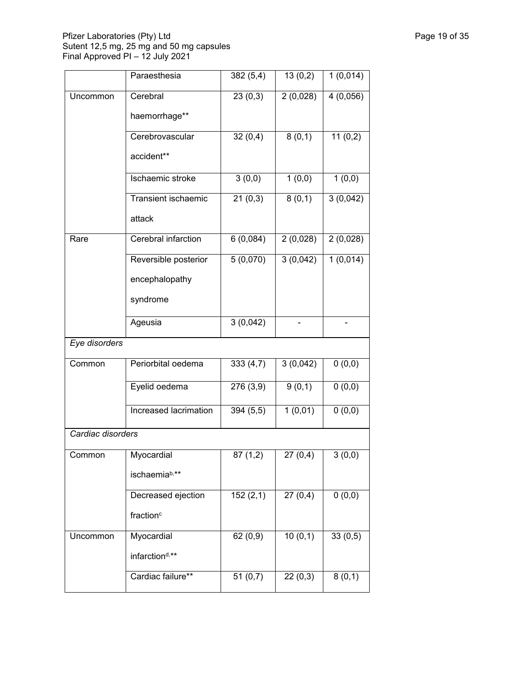## Pfizer Laboratories (Pty) Ltd Page 19 of 35 Sutent 12,5 mg, 25 mg and 50 mg capsules Final Approved PI – 12 July 2021

|                   | Paraesthesia               | 382(5,4)  | 13(0,2)  | 1(0,014) |
|-------------------|----------------------------|-----------|----------|----------|
| Uncommon          | Cerebral                   | 23(0,3)   | 2(0,028) | 4(0,056) |
|                   | haemorrhage**              |           |          |          |
|                   | Cerebrovascular            | 32(0,4)   | 8(0,1)   | 11(0,2)  |
|                   | accident**                 |           |          |          |
|                   | Ischaemic stroke           | 3(0,0)    | 1(0,0)   | 1(0,0)   |
|                   | Transient ischaemic        | 21(0,3)   | 8(0,1)   | 3(0,042) |
|                   | attack                     |           |          |          |
| Rare              | Cerebral infarction        | 6(0,084)  | 2(0,028) | 2(0,028) |
|                   | Reversible posterior       | 5(0,070)  | 3(0,042) | 1(0,014) |
|                   | encephalopathy             |           |          |          |
|                   | syndrome                   |           |          |          |
|                   | Ageusia                    | 3(0,042)  |          |          |
| Eye disorders     |                            |           |          |          |
| Common            | Periorbital oedema         | 333(4,7)  | 3(0,042) | 0(0,0)   |
|                   | Eyelid oedema              | 276(3,9)  | 9(0,1)   | 0(0,0)   |
|                   | Increased lacrimation      | 394 (5,5) | 1(0,01)  | 0(0,0)   |
| Cardiac disorders |                            |           |          |          |
| Common            | Myocardial                 | 87(1,2)   | 27(0,4)  | 3(0,0)   |
|                   | ischaemiab,**              |           |          |          |
|                   | Decreased ejection         | 152(2,1)  | 27(0,4)  | 0(0,0)   |
|                   | fraction <sup>c</sup>      |           |          |          |
| Uncommon          | Myocardial                 | 62(0,9)   | 10(0,1)  | 33(0,5)  |
|                   | infarction <sup>d,**</sup> |           |          |          |
|                   | Cardiac failure**          | 51(0,7)   | 22(0,3)  | 8(0,1)   |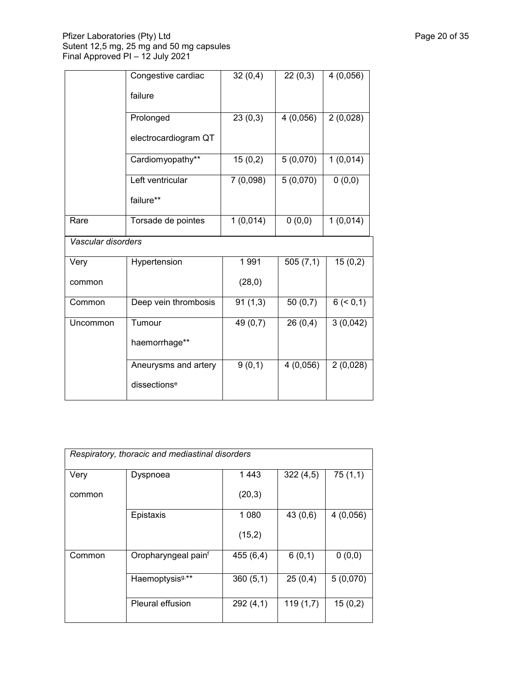## Pfizer Laboratories (Pty) Ltd Page 20 of 35 Sutent 12,5 mg, 25 mg and 50 mg capsules Final Approved PI – 12 July 2021

|                    | Congestive cardiac       | 32(0,4)  | 22(0,3)  | 4(0,056)   |
|--------------------|--------------------------|----------|----------|------------|
|                    | failure                  |          |          |            |
|                    | Prolonged                | 23(0,3)  | 4(0,056) | 2(0,028)   |
|                    | electrocardiogram QT     |          |          |            |
|                    | Cardiomyopathy**         | 15(0,2)  | 5(0,070) | 1(0,014)   |
|                    | Left ventricular         | 7(0,098) | 5(0,070) | 0(0,0)     |
|                    | failure**                |          |          |            |
| Rare               | Torsade de pointes       | 1(0,014) | 0(0,0)   | 1(0,014)   |
| Vascular disorders |                          |          |          |            |
| Very               | Hypertension             | 1991     | 505(7,1) | 15(0,2)    |
| common             |                          | (28,0)   |          |            |
| Common             | Deep vein thrombosis     | 91(1,3)  | 50(0,7)  | 6 (< 0, 1) |
| Uncommon           | Tumour                   | 49 (0,7) | 26(0,4)  | 3(0,042)   |
|                    | haemorrhage**            |          |          |            |
|                    | Aneurysms and artery     | 9(0,1)   | 4(0,056) | 2(0,028)   |
|                    | dissections <sup>e</sup> |          |          |            |

| Respiratory, thoracic and mediastinal disorders |                             |          |          |          |  |
|-------------------------------------------------|-----------------------------|----------|----------|----------|--|
| Very                                            | Dyspnoea                    | 1443     | 322(4,5) | 75(1,1)  |  |
| common                                          |                             | (20,3)   |          |          |  |
|                                                 | Epistaxis                   | 1 0 8 0  | 43(0,6)  | 4(0,056) |  |
|                                                 |                             | (15,2)   |          |          |  |
| Common                                          | Oropharyngeal painf         | 455(6,4) | 6(0,1)   | 0(0,0)   |  |
|                                                 | Haemoptysis <sup>g,**</sup> | 360(5,1) | 25(0,4)  | 5(0,070) |  |
|                                                 | <b>Pleural effusion</b>     | 292(4,1) | 119(1,7) | 15(0,2)  |  |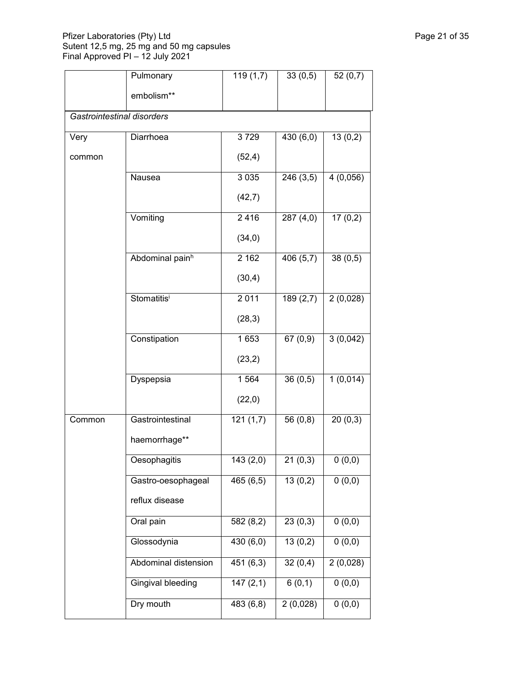### Pfizer Laboratories (Pty) Ltd Page 21 of 35 Sutent 12,5 mg, 25 mg and 50 mg capsules Final Approved PI – 12 July 2021

|                            | Pulmonary                | 119(1,7)  | 33(0,5)                | 52(0,7)  |  |  |  |
|----------------------------|--------------------------|-----------|------------------------|----------|--|--|--|
|                            | embolism**               |           |                        |          |  |  |  |
| Gastrointestinal disorders |                          |           |                        |          |  |  |  |
| Very                       | Diarrhoea                | 3729      | 430 (6,0)              | 13(0,2)  |  |  |  |
| common                     |                          | (52, 4)   |                        |          |  |  |  |
|                            | Nausea                   | 3 0 3 5   | 246 (3,5)              | 4(0,056) |  |  |  |
|                            |                          | (42,7)    |                        |          |  |  |  |
|                            | Vomiting                 | 2416      | 287(4,0)               | 17(0,2)  |  |  |  |
|                            |                          | (34,0)    |                        |          |  |  |  |
|                            | Abdominal painh          | 2 1 6 2   | $\overline{406}$ (5,7) | 38(0,5)  |  |  |  |
|                            |                          | (30,4)    |                        |          |  |  |  |
|                            | Stomatitisi              | 2011      | 189(2,7)               | 2(0,028) |  |  |  |
|                            |                          | (28,3)    |                        |          |  |  |  |
|                            | Constipation             | 1653      | 67(0,9)                | 3(0,042) |  |  |  |
|                            |                          | (23,2)    |                        |          |  |  |  |
|                            | Dyspepsia                | 1 5 6 4   | 36(0,5)                | 1(0,014) |  |  |  |
|                            |                          | (22,0)    |                        |          |  |  |  |
| Common                     | Gastrointestinal         | 121(1,7)  | 56 (0,8)               | 20(0,3)  |  |  |  |
|                            | haemorrhage**            |           |                        |          |  |  |  |
|                            | Oesophagitis             | 143(2,0)  | 21(0,3)                | 0(0,0)   |  |  |  |
|                            | Gastro-oesophageal       | 465(6,5)  | 13(0,2)                | 0(0,0)   |  |  |  |
|                            | reflux disease           |           |                        |          |  |  |  |
|                            | Oral pain                | 582 (8,2) | 23(0,3)                | 0(0,0)   |  |  |  |
|                            | Glossodynia              | 430 (6,0) | 13(0,2)                | 0(0,0)   |  |  |  |
|                            | Abdominal distension     | 451 (6,3) | 32(0,4)                | 2(0,028) |  |  |  |
|                            | <b>Gingival bleeding</b> | 147(2,1)  | 6(0,1)                 | 0(0,0)   |  |  |  |
|                            | Dry mouth                | 483 (6,8) | 2(0,028)               | 0(0,0)   |  |  |  |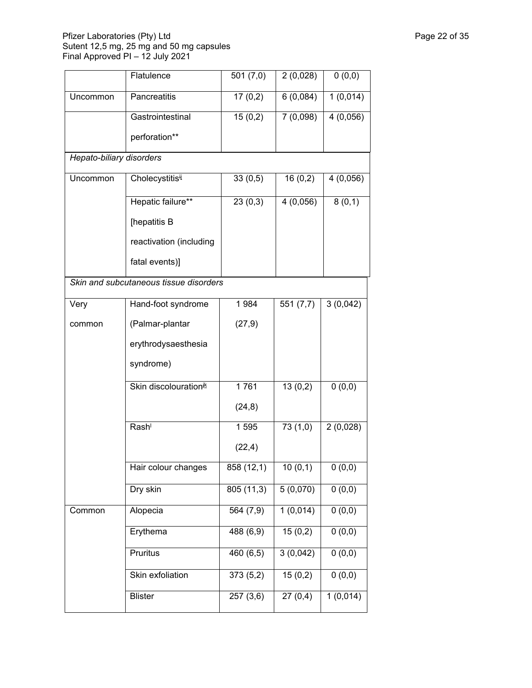## Pfizer Laboratories (Pty) Ltd Page 22 of 35 Sutent 12,5 mg, 25 mg and 50 mg capsules Final Approved PI – 12 July 2021

|                          | Flatulence                             | 501(7,0)              | 2(0,028) | 0(0,0)   |
|--------------------------|----------------------------------------|-----------------------|----------|----------|
| Uncommon                 | Pancreatitis                           | 17(0,2)               | 6(0,084) | 1(0,014) |
|                          | Gastrointestinal                       | 15(0,2)               | 7(0,098) | 4(0,056) |
|                          | perforation**                          |                       |          |          |
| Hepato-biliary disorders |                                        |                       |          |          |
| Uncommon                 | Cholecystitis <sup>ij</sup>            | 33(0,5)               | 16(0,2)  | 4(0,056) |
|                          | Hepatic failure**                      | 23(0,3)               | 4(0,056) | 8(0,1)   |
|                          | [hepatitis B                           |                       |          |          |
|                          | reactivation (including                |                       |          |          |
|                          | fatal events)]                         |                       |          |          |
|                          | Skin and subcutaneous tissue disorders |                       |          |          |
| Very                     | Hand-foot syndrome                     | 1984                  | 551(7,7) | 3(0,042) |
| common                   | (Palmar-plantar                        | (27, 9)               |          |          |
|                          | erythrodysaesthesia                    |                       |          |          |
|                          | syndrome)                              |                       |          |          |
|                          | Skin discolourationik                  | 1761                  | 13(0,2)  | 0(0,0)   |
|                          |                                        | (24, 8)               |          |          |
|                          | Rash <sup>1</sup>                      | 1595                  | 73(1,0)  | 2(0,028) |
|                          |                                        | (22, 4)               |          |          |
|                          | Hair colour changes                    | 858 (12,1)            | 10(0,1)  | 0(0,0)   |
|                          | Dry skin                               | 805(11,3)             | 5(0,070) | 0(0,0)   |
| Common                   | Alopecia                               | 564 (7,9)             | 1(0,014) | 0(0,0)   |
|                          | Erythema                               | 488 (6,9)             | 15(0,2)  | 0(0,0)   |
|                          | Pruritus                               | 460 (6,5)             | 3(0,042) | 0(0,0)   |
|                          | Skin exfoliation                       | 373(5,2)              | 15(0,2)  | 0(0,0)   |
|                          | <b>Blister</b>                         | $\overline{257(3,6)}$ | 27(0,4)  | 1(0,014) |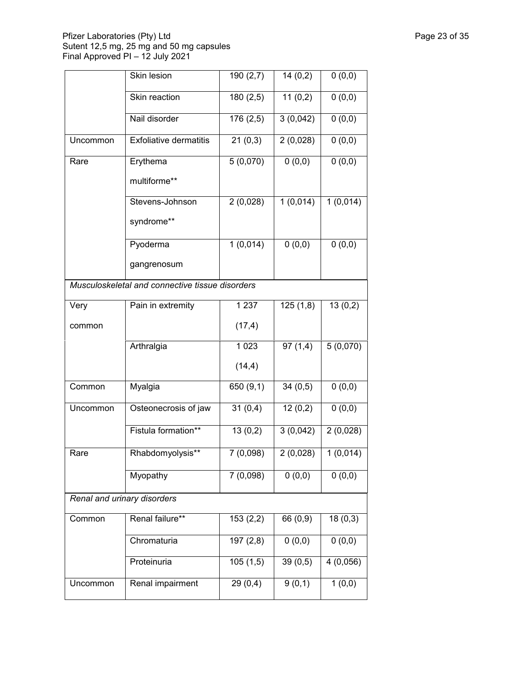## Pfizer Laboratories (Pty) Ltd Page 23 of 35 Sutent 12,5 mg, 25 mg and 50 mg capsules Final Approved PI – 12 July 2021

|                             | Skin lesion                                     | 190(2,7)  | 14(0,2)  | 0(0,0)   |
|-----------------------------|-------------------------------------------------|-----------|----------|----------|
|                             | Skin reaction                                   | 180(2,5)  | 11(0,2)  | 0(0,0)   |
|                             | Nail disorder                                   | 176 (2,5) | 3(0,042) | 0(0,0)   |
| Uncommon                    | <b>Exfoliative dermatitis</b>                   | 21(0,3)   | 2(0,028) | 0(0,0)   |
| Rare                        | Erythema                                        | 5(0,070)  | 0(0,0)   | 0(0,0)   |
|                             | multiforme**                                    |           |          |          |
|                             | Stevens-Johnson                                 | 2(0,028)  | 1(0,014) | 1(0,014) |
|                             | syndrome**                                      |           |          |          |
|                             | Pyoderma                                        | 1(0,014)  | 0(0,0)   | 0(0,0)   |
|                             | gangrenosum                                     |           |          |          |
|                             | Musculoskeletal and connective tissue disorders |           |          |          |
| Very                        | Pain in extremity                               | 1 2 3 7   | 125(1,8) | 13(0,2)  |
| common                      |                                                 | (17, 4)   |          |          |
|                             | Arthralgia                                      | 1 0 2 3   | 97(1,4)  | 5(0,070) |
|                             |                                                 | (14,4)    |          |          |
| Common                      | Myalgia                                         | 650 (9,1) | 34(0,5)  | 0(0,0)   |
| Uncommon                    | Osteonecrosis of jaw                            | 31(0,4)   | 12(0,2)  | 0(0,0)   |
|                             | Fistula formation**                             | 13(0,2)   | 3(0,042) | 2(0,028) |
| Rare                        | Rhabdomyolysis**                                | 7(0,098)  | 2(0,028) | 1(0,014) |
|                             | Myopathy                                        | 7(0,098)  | 0(0,0)   | 0(0,0)   |
| Renal and urinary disorders |                                                 |           |          |          |
| Common                      | Renal failure**                                 | 153(2,2)  | 66 (0,9) | 18(0,3)  |
|                             | Chromaturia                                     | 197(2,8)  | 0(0,0)   | 0(0,0)   |
|                             | Proteinuria                                     | 105(1,5)  | 39(0,5)  | 4(0,056) |
| Uncommon                    | Renal impairment                                | 29(0,4)   | 9(0,1)   | 1(0,0)   |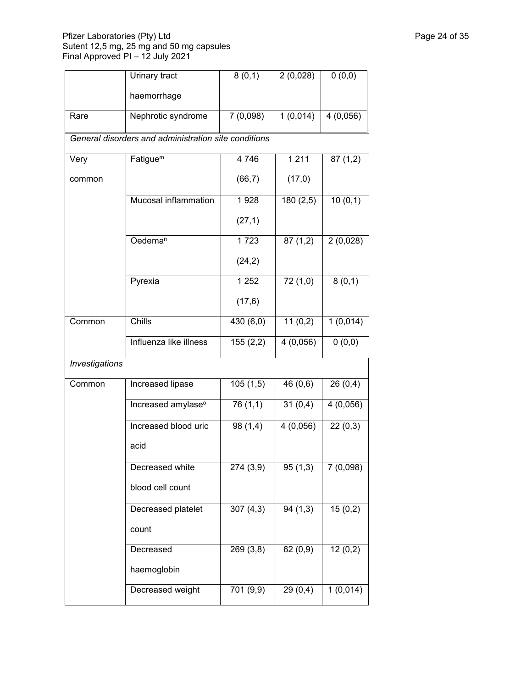## Pfizer Laboratories (Pty) Ltd Page 24 of 35 Sutent 12,5 mg, 25 mg and 50 mg capsules Final Approved PI – 12 July 2021

|                | Urinary tract                                        | 8(0,1)    | 2(0,028) | 0(0,0)   |  |  |  |
|----------------|------------------------------------------------------|-----------|----------|----------|--|--|--|
|                | haemorrhage                                          |           |          |          |  |  |  |
| Rare           | Nephrotic syndrome                                   | 7(0,098)  | 1(0,014) | 4(0,056) |  |  |  |
|                | General disorders and administration site conditions |           |          |          |  |  |  |
| Very           | Fatigue <sup>m</sup>                                 | 4746      | $1\,211$ | 87(1,2)  |  |  |  |
| common         |                                                      | (66, 7)   | (17,0)   |          |  |  |  |
|                | Mucosal inflammation                                 | 1928      | 180(2,5) | 10(0,1)  |  |  |  |
|                |                                                      | (27, 1)   |          |          |  |  |  |
|                | Oedema <sup>n</sup>                                  | 1723      | 87(1,2)  | 2(0,028) |  |  |  |
|                |                                                      | (24,2)    |          |          |  |  |  |
|                | Pyrexia                                              | 1 2 5 2   | 72(1,0)  | 8(0,1)   |  |  |  |
|                |                                                      | (17, 6)   |          |          |  |  |  |
| Common         | Chills                                               | 430 (6,0) | 11(0,2)  | 1(0,014) |  |  |  |
|                | Influenza like illness                               | 155(2,2)  | 4(0,056) | 0(0,0)   |  |  |  |
| Investigations |                                                      |           |          |          |  |  |  |
| Common         | Increased lipase                                     | 105(1,5)  | 46 (0,6) | 26(0,4)  |  |  |  |
|                | Increased amylase <sup>o</sup>                       | 76 (1,1)  | 31(0,4)  | 4(0,056) |  |  |  |
|                | Increased blood uric                                 | 98 (1,4)  | 4(0,056) | 22(0,3)  |  |  |  |
|                | acid                                                 |           |          |          |  |  |  |
|                | Decreased white                                      | 274 (3,9) | 95(1,3)  | 7(0,098) |  |  |  |
|                | blood cell count                                     |           |          |          |  |  |  |
|                | Decreased platelet                                   | 307(4,3)  | 94(1,3)  | 15(0,2)  |  |  |  |
|                | count                                                |           |          |          |  |  |  |
|                | Decreased                                            | 269(3,8)  | 62(0,9)  | 12(0,2)  |  |  |  |
|                | haemoglobin                                          |           |          |          |  |  |  |
|                | Decreased weight                                     | 701 (9,9) | 29(0,4)  | 1(0,014) |  |  |  |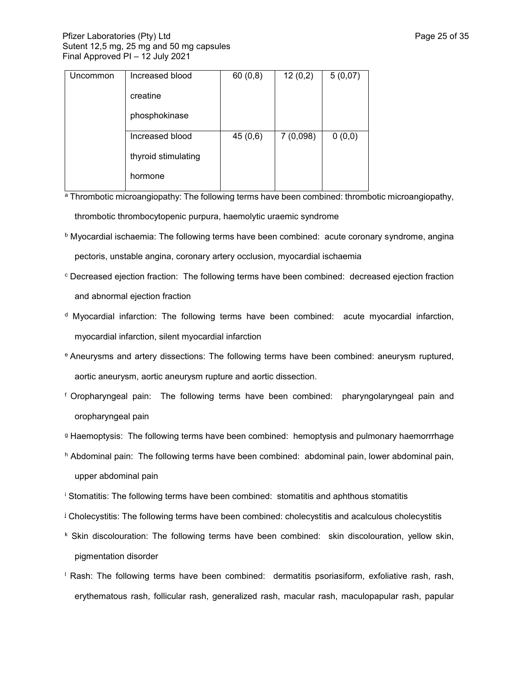| Uncommon | Increased blood     | 60(0,8) | 12(0,2)  | 5(0,07) |
|----------|---------------------|---------|----------|---------|
|          | creatine            |         |          |         |
|          | phosphokinase       |         |          |         |
|          | Increased blood     | 45(0,6) | 7(0,098) | 0(0,0)  |
|          | thyroid stimulating |         |          |         |
|          | hormone             |         |          |         |

a Thrombotic microangiopathy: The following terms have been combined: thrombotic microangiopathy, thrombotic thrombocytopenic purpura, haemolytic uraemic syndrome

- <sup>b</sup> Myocardial ischaemia: The following terms have been combined: acute coronary syndrome, angina pectoris, unstable angina, coronary artery occlusion, myocardial ischaemia
- <sup>c</sup> Decreased ejection fraction: The following terms have been combined: decreased ejection fraction and abnormal ejection fraction
- <sup>d</sup> Myocardial infarction: The following terms have been combined: acute myocardial infarction, myocardial infarction, silent myocardial infarction
- <sup>e</sup> Aneurysms and artery dissections: The following terms have been combined: aneurysm ruptured, aortic aneurysm, aortic aneurysm rupture and aortic dissection.
- <sup>f</sup> Oropharyngeal pain: The following terms have been combined: pharyngolaryngeal pain and oropharyngeal pain
- <sup>g</sup> Haemoptysis: The following terms have been combined: hemoptysis and pulmonary haemorrrhage
- h Abdominal pain: The following terms have been combined: abdominal pain, lower abdominal pain, upper abdominal pain
- <sup>i</sup> Stomatitis: The following terms have been combined: stomatitis and aphthous stomatitis
- <sup>1</sup> Cholecystitis: The following terms have been combined: cholecystitis and acalculous cholecystitis
- <sup>k</sup> Skin discolouration: The following terms have been combined: skin discolouration, yellow skin, pigmentation disorder
- <sup>l</sup> Rash: The following terms have been combined: dermatitis psoriasiform, exfoliative rash, rash, erythematous rash, follicular rash, generalized rash, macular rash, maculopapular rash, papular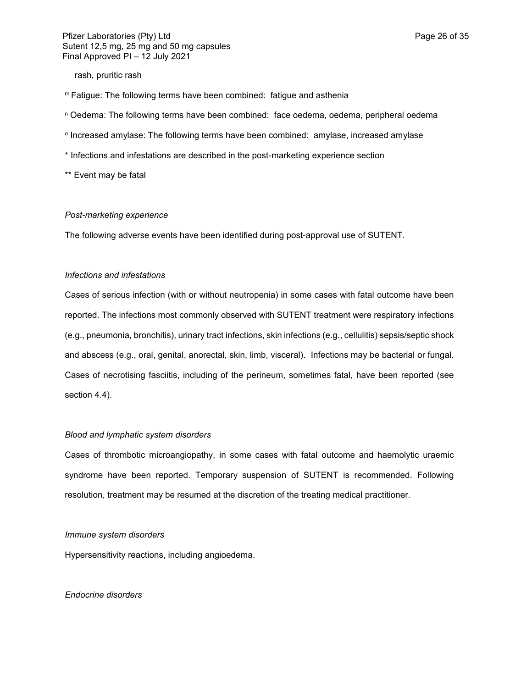rash, pruritic rash

- <sup>m</sup>Fatigue: The following terms have been combined: fatigue and asthenia
- <sup>n</sup> Oedema: The following terms have been combined: face oedema, oedema, peripheral oedema
- **<sup>o</sup> Increased amylase: The following terms have been combined: amylase, increased amylase**
- \* Infections and infestations are described in the post-marketing experience section

\*\* Event may be fatal

### *Post-marketing experience*

The following adverse events have been identified during post-approval use of SUTENT.

#### *Infections and infestations*

Cases of serious infection (with or without neutropenia) in some cases with fatal outcome have been reported. The infections most commonly observed with SUTENT treatment were respiratory infections (e.g., pneumonia, bronchitis), urinary tract infections, skin infections (e.g., cellulitis) sepsis/septic shock and abscess (e.g., oral, genital, anorectal, skin, limb, visceral). Infections may be bacterial or fungal. Cases of necrotising fasciitis, including of the perineum, sometimes fatal, have been reported (see section 4.4).

### *Blood and lymphatic system disorders*

Cases of thrombotic microangiopathy, in some cases with fatal outcome and haemolytic uraemic syndrome have been reported. Temporary suspension of SUTENT is recommended. Following resolution, treatment may be resumed at the discretion of the treating medical practitioner.

#### *Immune system disorders*

Hypersensitivity reactions, including angioedema.

### *Endocrine disorders*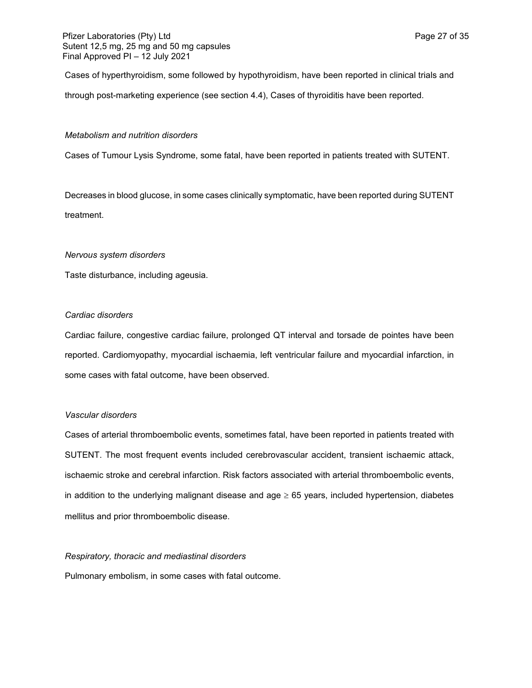Cases of hyperthyroidism, some followed by hypothyroidism, have been reported in clinical trials and through post-marketing experience (see section 4.4), Cases of thyroiditis have been reported.

### *Metabolism and nutrition disorders*

Cases of Tumour Lysis Syndrome, some fatal, have been reported in patients treated with SUTENT.

Decreases in blood glucose, in some cases clinically symptomatic, have been reported during SUTENT treatment.

### *Nervous system disorders*

Taste disturbance, including ageusia.

### *Cardiac disorders*

Cardiac failure, congestive cardiac failure, prolonged QT interval and torsade de pointes have been reported. Cardiomyopathy, myocardial ischaemia, left ventricular failure and myocardial infarction, in some cases with fatal outcome, have been observed.

#### *Vascular disorders*

Cases of arterial thromboembolic events, sometimes fatal, have been reported in patients treated with SUTENT. The most frequent events included cerebrovascular accident, transient ischaemic attack, ischaemic stroke and cerebral infarction. Risk factors associated with arterial thromboembolic events, in addition to the underlying malignant disease and age  $\geq 65$  years, included hypertension, diabetes mellitus and prior thromboembolic disease.

#### *Respiratory, thoracic and mediastinal disorders*

Pulmonary embolism, in some cases with fatal outcome.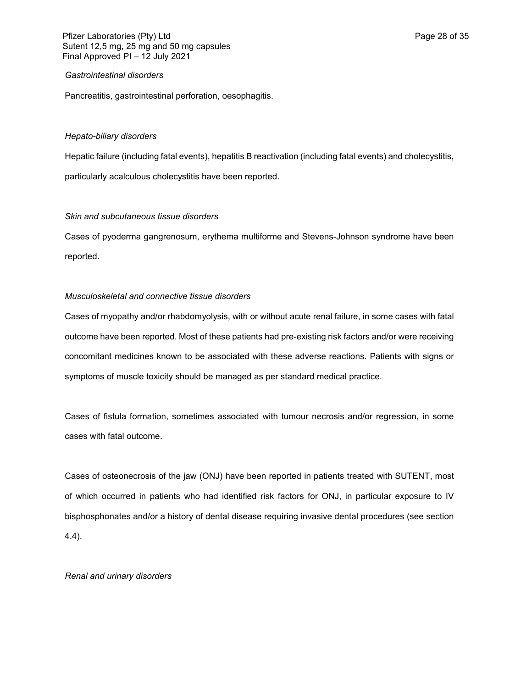### *Gastrointestinal disorders*

Pancreatitis, gastrointestinal perforation, oesophagitis.

## *Hepato-biliary disorders*

Hepatic failure (including fatal events), hepatitis B reactivation (including fatal events) and cholecystitis, particularly acalculous cholecystitis have been reported.

### *Skin and subcutaneous tissue disorders*

Cases of pyoderma gangrenosum, erythema multiforme and Stevens-Johnson syndrome have been reported.

## *Musculoskeletal and connective tissue disorders*

Cases of myopathy and/or rhabdomyolysis, with or without acute renal failure, in some cases with fatal outcome have been reported. Most of these patients had pre-existing risk factors and/or were receiving concomitant medicines known to be associated with these adverse reactions. Patients with signs or symptoms of muscle toxicity should be managed as per standard medical practice.

Cases of fistula formation, sometimes associated with tumour necrosis and/or regression, in some cases with fatal outcome.

Cases of osteonecrosis of the jaw (ONJ) have been reported in patients treated with SUTENT, most of which occurred in patients who had identified risk factors for ONJ, in particular exposure to IV bisphosphonates and/or a history of dental disease requiring invasive dental procedures (see section 4.4).

#### *Renal and urinary disorders*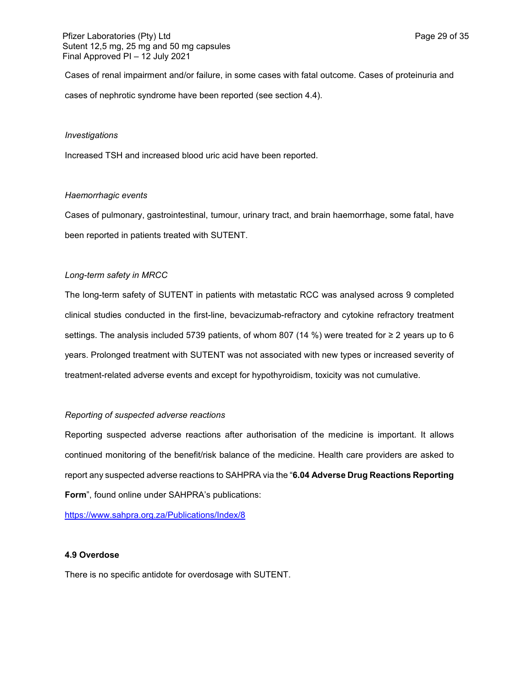Cases of renal impairment and/or failure, in some cases with fatal outcome. Cases of proteinuria and cases of nephrotic syndrome have been reported (see section 4.4).

#### *Investigations*

Increased TSH and increased blood uric acid have been reported.

### *Haemorrhagic events*

Cases of pulmonary, gastrointestinal, tumour, urinary tract, and brain haemorrhage, some fatal, have been reported in patients treated with SUTENT.

## *Long-term safety in MRCC*

The long-term safety of SUTENT in patients with metastatic RCC was analysed across 9 completed clinical studies conducted in the first-line, bevacizumab-refractory and cytokine refractory treatment settings. The analysis included 5739 patients, of whom 807 (14 %) were treated for ≥ 2 years up to 6 years. Prolonged treatment with SUTENT was not associated with new types or increased severity of treatment-related adverse events and except for hypothyroidism, toxicity was not cumulative.

#### *Reporting of suspected adverse reactions*

Reporting suspected adverse reactions after authorisation of the medicine is important. It allows continued monitoring of the benefit/risk balance of the medicine. Health care providers are asked to report any suspected adverse reactions to SAHPRA via the "**6.04 Adverse Drug Reactions Reporting Form**", found online under SAHPRA's publications:

<https://www.sahpra.org.za/Publications/Index/8>

### **4.9 Overdose**

There is no specific antidote for overdosage with SUTENT.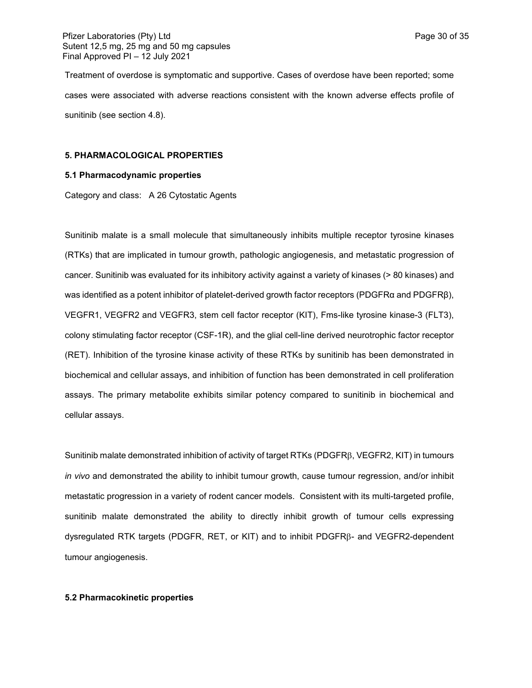Treatment of overdose is symptomatic and supportive. Cases of overdose have been reported; some cases were associated with adverse reactions consistent with the known adverse effects profile of sunitinib (see section 4.8).

### **5. PHARMACOLOGICAL PROPERTIES**

#### **5.1 Pharmacodynamic properties**

Category and class: A 26 Cytostatic Agents

Sunitinib malate is a small molecule that simultaneously inhibits multiple receptor tyrosine kinases (RTKs) that are implicated in tumour growth, pathologic angiogenesis, and metastatic progression of cancer. Sunitinib was evaluated for its inhibitory activity against a variety of kinases (> 80 kinases) and was identified as a potent inhibitor of platelet-derived growth factor receptors (PDGFRα and PDGFRβ), VEGFR1, VEGFR2 and VEGFR3, stem cell factor receptor (KIT), Fms-like tyrosine kinase-3 (FLT3), colony stimulating factor receptor (CSF-1R), and the glial cell-line derived neurotrophic factor receptor (RET). Inhibition of the tyrosine kinase activity of these RTKs by sunitinib has been demonstrated in biochemical and cellular assays, and inhibition of function has been demonstrated in cell proliferation assays. The primary metabolite exhibits similar potency compared to sunitinib in biochemical and cellular assays.

Sunitinib malate demonstrated inhibition of activity of target RTKs (PDGFRB, VEGFR2, KIT) in tumours *in vivo* and demonstrated the ability to inhibit tumour growth, cause tumour regression, and/or inhibit metastatic progression in a variety of rodent cancer models. Consistent with its multi-targeted profile, sunitinib malate demonstrated the ability to directly inhibit growth of tumour cells expressing dysregulated RTK targets (PDGFR, RET, or KIT) and to inhibit PDGFRB- and VEGFR2-dependent tumour angiogenesis.

#### **5.2 Pharmacokinetic properties**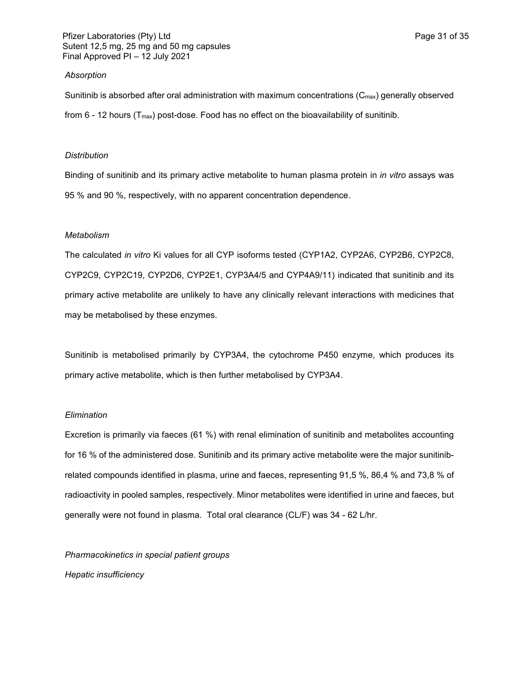#### *Absorption*

Sunitinib is absorbed after oral administration with maximum concentrations  $(C_{\text{max}})$  generally observed from  $6 - 12$  hours (T<sub>max</sub>) post-dose. Food has no effect on the bioavailability of sunitinib.

#### *Distribution*

Binding of sunitinib and its primary active metabolite to human plasma protein in *in vitro* assays was 95 % and 90 %, respectively, with no apparent concentration dependence.

#### *Metabolism*

The calculated *in vitro* Ki values for all CYP isoforms tested (CYP1A2, CYP2A6, CYP2B6, CYP2C8, CYP2C9, CYP2C19, CYP2D6, CYP2E1, CYP3A4/5 and CYP4A9/11) indicated that sunitinib and its primary active metabolite are unlikely to have any clinically relevant interactions with medicines that may be metabolised by these enzymes.

Sunitinib is metabolised primarily by CYP3A4, the cytochrome P450 enzyme, which produces its primary active metabolite, which is then further metabolised by CYP3A4.

#### *Elimination*

Excretion is primarily via faeces (61 %) with renal elimination of sunitinib and metabolites accounting for 16 % of the administered dose. Sunitinib and its primary active metabolite were the major sunitinibrelated compounds identified in plasma, urine and faeces, representing 91,5 %, 86,4 % and 73,8 % of radioactivity in pooled samples, respectively. Minor metabolites were identified in urine and faeces, but generally were not found in plasma. Total oral clearance (CL/F) was 34 - 62 L/hr.

*Pharmacokinetics in special patient groups*

*Hepatic insufficiency*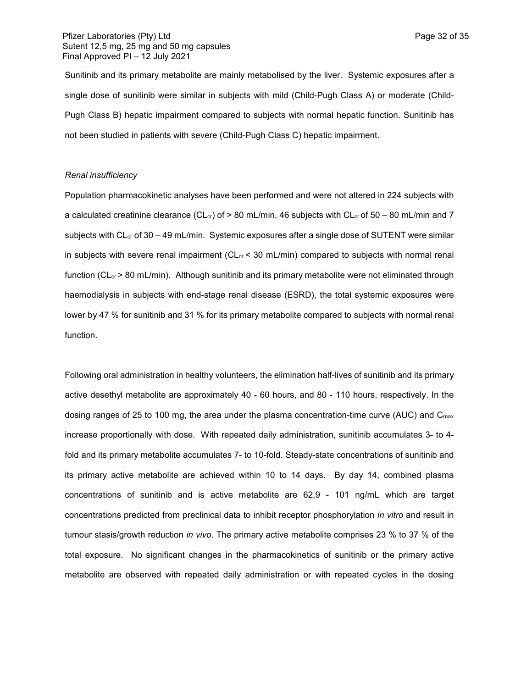Sunitinib and its primary metabolite are mainly metabolised by the liver. Systemic exposures after a single dose of sunitinib were similar in subjects with mild (Child-Pugh Class A) or moderate (Child-Pugh Class B) hepatic impairment compared to subjects with normal hepatic function. Sunitinib has not been studied in patients with severe (Child-Pugh Class C) hepatic impairment.

#### *Renal insufficiency*

Population pharmacokinetic analyses have been performed and were not altered in 224 subjects with a calculated creatinine clearance (CL<sub>cr</sub>) of  $> 80$  mL/min, 46 subjects with CL<sub>cr</sub> of 50 – 80 mL/min and 7 subjects with  $CL<sub>cr</sub>$  of 30 – 49 mL/min. Systemic exposures after a single dose of SUTENT were similar in subjects with severe renal impairment ( $CL<sub>cr</sub> < 30$  mL/min) compared to subjects with normal renal function ( $CL<sub>cr</sub> > 80$  mL/min). Although sunitinib and its primary metabolite were not eliminated through haemodialysis in subjects with end-stage renal disease (ESRD), the total systemic exposures were lower by 47 % for sunitinib and 31 % for its primary metabolite compared to subjects with normal renal function.

Following oral administration in healthy volunteers, the elimination half-lives of sunitinib and its primary active desethyl metabolite are approximately 40 - 60 hours, and 80 - 110 hours, respectively. In the dosing ranges of 25 to 100 mg, the area under the plasma concentration-time curve (AUC) and  $C_{\text{max}}$ increase proportionally with dose. With repeated daily administration, sunitinib accumulates 3- to 4 fold and its primary metabolite accumulates 7- to 10-fold. Steady-state concentrations of sunitinib and its primary active metabolite are achieved within 10 to 14 days. By day 14, combined plasma concentrations of sunitinib and is active metabolite are 62,9 - 101 ng/mL which are target concentrations predicted from preclinical data to inhibit receptor phosphorylation *in vitro* and result in tumour stasis/growth reduction *in vivo*. The primary active metabolite comprises 23 % to 37 % of the total exposure. No significant changes in the pharmacokinetics of sunitinib or the primary active metabolite are observed with repeated daily administration or with repeated cycles in the dosing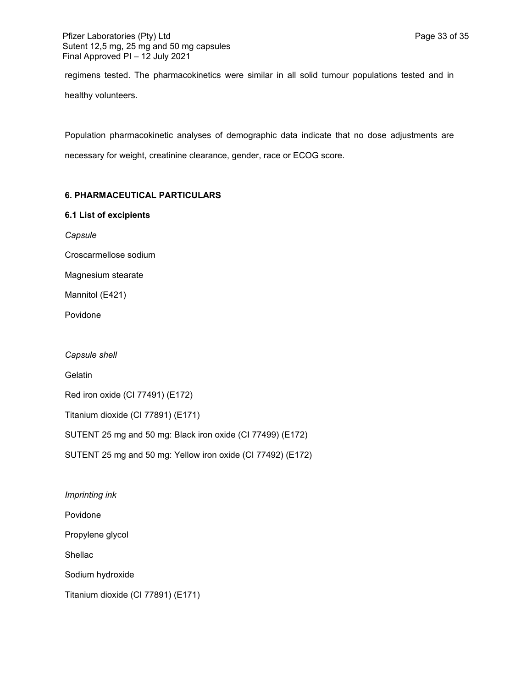regimens tested. The pharmacokinetics were similar in all solid tumour populations tested and in healthy volunteers.

Population pharmacokinetic analyses of demographic data indicate that no dose adjustments are necessary for weight, creatinine clearance, gender, race or ECOG score.

## **6. PHARMACEUTICAL PARTICULARS**

## **6.1 List of excipients**

*Capsule*

Croscarmellose sodium

Magnesium stearate

Mannitol (E421)

Povidone

*Capsule shell*

**Gelatin** 

Red iron oxide (CI 77491) (E172)

Titanium dioxide (CI 77891) (E171)

SUTENT 25 mg and 50 mg: Black iron oxide (CI 77499) (E172)

SUTENT 25 mg and 50 mg: Yellow iron oxide (CI 77492) (E172)

*Imprinting ink*

Povidone

Propylene glycol

Shellac

Sodium hydroxide

Titanium dioxide (CI 77891) (E171)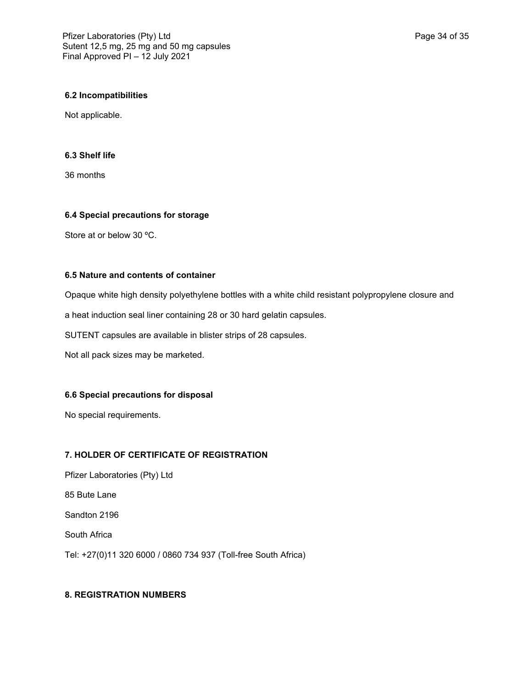## **6.2 Incompatibilities**

Not applicable.

## **6.3 Shelf life**

36 months

## **6.4 Special precautions for storage**

Store at or below 30 ºC.

## **6.5 Nature and contents of container**

Opaque white high density polyethylene bottles with a white child resistant polypropylene closure and

a heat induction seal liner containing 28 or 30 hard gelatin capsules.

SUTENT capsules are available in blister strips of 28 capsules.

Not all pack sizes may be marketed.

# **6.6 Special precautions for disposal**

No special requirements.

# **7. HOLDER OF CERTIFICATE OF REGISTRATION**

Pfizer Laboratories (Pty) Ltd 85 Bute Lane Sandton 2196 South Africa Tel: +27(0)11 320 6000 / 0860 734 937 (Toll-free South Africa)

# **8. REGISTRATION NUMBERS**